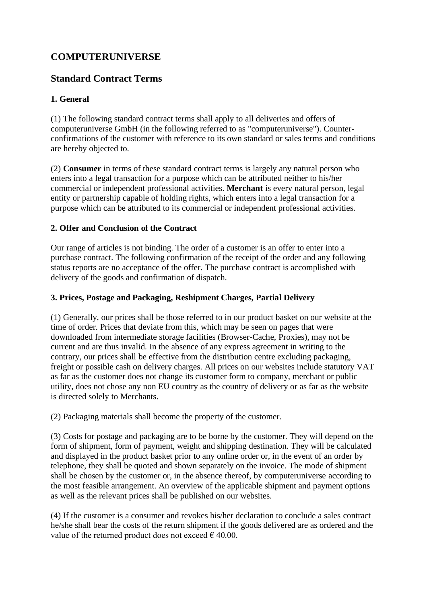# **COMPUTERUNIVERSE**

# **Standard Contract Terms**

# **1. General**

(1) The following standard contract terms shall apply to all deliveries and offers of computeruniverse GmbH (in the following referred to as "computeruniverse"). Counterconfirmations of the customer with reference to its own standard or sales terms and conditions are hereby objected to.

(2) **Consumer** in terms of these standard contract terms is largely any natural person who enters into a legal transaction for a purpose which can be attributed neither to his/her commercial or independent professional activities. **Merchant** is every natural person, legal entity or partnership capable of holding rights, which enters into a legal transaction for a purpose which can be attributed to its commercial or independent professional activities.

## **2. Offer and Conclusion of the Contract**

Our range of articles is not binding. The order of a customer is an offer to enter into a purchase contract. The following confirmation of the receipt of the order and any following status reports are no acceptance of the offer. The purchase contract is accomplished with delivery of the goods and confirmation of dispatch.

#### **3. Prices, Postage and Packaging, Reshipment Charges, Partial Delivery**

(1) Generally, our prices shall be those referred to in our product basket on our website at the time of order. Prices that deviate from this, which may be seen on pages that were downloaded from intermediate storage facilities (Browser-Cache, Proxies), may not be current and are thus invalid. In the absence of any express agreement in writing to the contrary, our prices shall be effective from the distribution centre excluding packaging, freight or possible cash on delivery charges. All prices on our websites include statutory VAT as far as the customer does not change its customer form to company, merchant or public utility, does not chose any non EU country as the country of delivery or as far as the website is directed solely to Merchants.

(2) Packaging materials shall become the property of the customer.

(3) Costs for postage and packaging are to be borne by the customer. They will depend on the form of shipment, form of payment, weight and shipping destination. They will be calculated and displayed in the product basket prior to any online order or, in the event of an order by telephone, they shall be quoted and shown separately on the invoice. The mode of shipment shall be chosen by the customer or, in the absence thereof, by computeruniverse according to the most feasible arrangement. An overview of the applicable shipment and payment options as well as the relevant prices shall be published on our websites.

(4) If the customer is a consumer and revokes his/her declaration to conclude a sales contract he/she shall bear the costs of the return shipment if the goods delivered are as ordered and the value of the returned product does not exceed  $\epsilon$  40.00.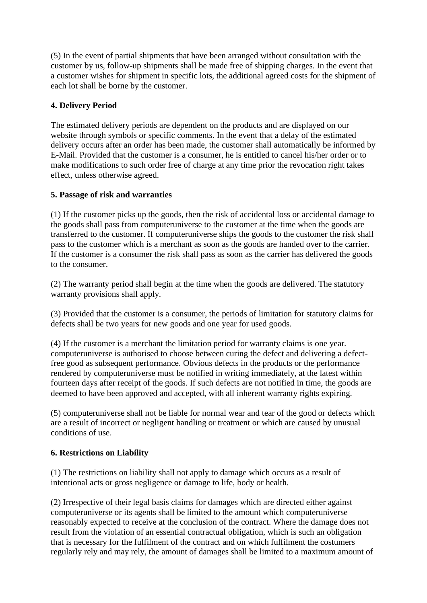(5) In the event of partial shipments that have been arranged without consultation with the customer by us, follow-up shipments shall be made free of shipping charges. In the event that a customer wishes for shipment in specific lots, the additional agreed costs for the shipment of each lot shall be borne by the customer.

## **4. Delivery Period**

The estimated delivery periods are dependent on the products and are displayed on our website through symbols or specific comments. In the event that a delay of the estimated delivery occurs after an order has been made, the customer shall automatically be informed by E-Mail. Provided that the customer is a consumer, he is entitled to cancel his/her order or to make modifications to such order free of charge at any time prior the revocation right takes effect, unless otherwise agreed.

## **5. Passage of risk and warranties**

(1) If the customer picks up the goods, then the risk of accidental loss or accidental damage to the goods shall pass from computeruniverse to the customer at the time when the goods are transferred to the customer. If computeruniverse ships the goods to the customer the risk shall pass to the customer which is a merchant as soon as the goods are handed over to the carrier. If the customer is a consumer the risk shall pass as soon as the carrier has delivered the goods to the consumer.

(2) The warranty period shall begin at the time when the goods are delivered. The statutory warranty provisions shall apply.

(3) Provided that the customer is a consumer, the periods of limitation for statutory claims for defects shall be two years for new goods and one year for used goods.

(4) If the customer is a merchant the limitation period for warranty claims is one year. computeruniverse is authorised to choose between curing the defect and delivering a defectfree good as subsequent performance. Obvious defects in the products or the performance rendered by computeruniverse must be notified in writing immediately, at the latest within fourteen days after receipt of the goods. If such defects are not notified in time, the goods are deemed to have been approved and accepted, with all inherent warranty rights expiring.

(5) computeruniverse shall not be liable for normal wear and tear of the good or defects which are a result of incorrect or negligent handling or treatment or which are caused by unusual conditions of use.

# **6. Restrictions on Liability**

(1) The restrictions on liability shall not apply to damage which occurs as a result of intentional acts or gross negligence or damage to life, body or health.

(2) Irrespective of their legal basis claims for damages which are directed either against computeruniverse or its agents shall be limited to the amount which computeruniverse reasonably expected to receive at the conclusion of the contract. Where the damage does not result from the violation of an essential contractual obligation, which is such an obligation that is necessary for the fulfilment of the contract and on which fulfilment the costumers regularly rely and may rely, the amount of damages shall be limited to a maximum amount of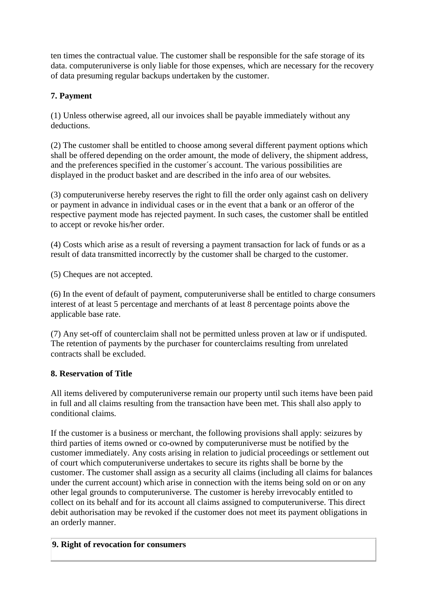ten times the contractual value. The customer shall be responsible for the safe storage of its data. computeruniverse is only liable for those expenses, which are necessary for the recovery of data presuming regular backups undertaken by the customer.

# **7. Payment**

(1) Unless otherwise agreed, all our invoices shall be payable immediately without any deductions.

(2) The customer shall be entitled to choose among several different payment options which shall be offered depending on the order amount, the mode of delivery, the shipment address, and the preferences specified in the customer´s account. The various possibilities are displayed in the product basket and are described in the info area of our websites.

(3) computeruniverse hereby reserves the right to fill the order only against cash on delivery or payment in advance in individual cases or in the event that a bank or an offeror of the respective payment mode has rejected payment. In such cases, the customer shall be entitled to accept or revoke his/her order.

(4) Costs which arise as a result of reversing a payment transaction for lack of funds or as a result of data transmitted incorrectly by the customer shall be charged to the customer.

(5) Cheques are not accepted.

(6) In the event of default of payment, computeruniverse shall be entitled to charge consumers interest of at least 5 percentage and merchants of at least 8 percentage points above the applicable base rate.

(7) Any set-off of counterclaim shall not be permitted unless proven at law or if undisputed. The retention of payments by the purchaser for counterclaims resulting from unrelated contracts shall be excluded.

# **8. Reservation of Title**

All items delivered by computeruniverse remain our property until such items have been paid in full and all claims resulting from the transaction have been met. This shall also apply to conditional claims.

If the customer is a business or merchant, the following provisions shall apply: seizures by third parties of items owned or co-owned by computeruniverse must be notified by the customer immediately. Any costs arising in relation to judicial proceedings or settlement out of court which computeruniverse undertakes to secure its rights shall be borne by the customer. The customer shall assign as a security all claims (including all claims for balances under the current account) which arise in connection with the items being sold on or on any other legal grounds to computeruniverse. The customer is hereby irrevocably entitled to collect on its behalf and for its account all claims assigned to computeruniverse. This direct debit authorisation may be revoked if the customer does not meet its payment obligations in an orderly manner.

# **9. Right of revocation for consumers**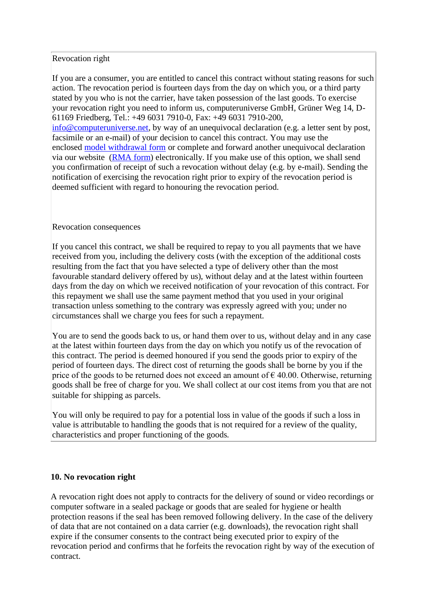#### Revocation right

If you are a consumer, you are entitled to cancel this contract without stating reasons for such action. The revocation period is fourteen days from the day on which you, or a third party stated by you who is not the carrier, have taken possession of the last goods. To exercise your revocation right you need to inform us, computeruniverse GmbH, Grüner Weg 14, D-61169 Friedberg, Tel.: +49 6031 7910-0, Fax: +49 6031 7910-200, [info@computeruniverse.net,](mailto:info@computeruniverse.net) by way of an unequivocal declaration (e.g. a letter sent by post, facsimile or an e-mail) of your decision to cancel this contract. You may use the enclosed [model withdrawal form](https://img.computeruniverse.net/content/de_muster_widerrufsformular.pdf) or complete and forward another unequivocal declaration via our website [\(RMA form\)](https://www.computeruniverse.net/rma) electronically. If you make use of this option, we shall send you confirmation of receipt of such a revocation without delay (e.g. by e-mail). Sending the notification of exercising the revocation right prior to expiry of the revocation period is deemed sufficient with regard to honouring the revocation period.

#### Revocation consequences

If you cancel this contract, we shall be required to repay to you all payments that we have received from you, including the delivery costs (with the exception of the additional costs resulting from the fact that you have selected a type of delivery other than the most favourable standard delivery offered by us), without delay and at the latest within fourteen days from the day on which we received notification of your revocation of this contract. For this repayment we shall use the same payment method that you used in your original transaction unless something to the contrary was expressly agreed with you; under no circumstances shall we charge you fees for such a repayment.

You are to send the goods back to us, or hand them over to us, without delay and in any case at the latest within fourteen days from the day on which you notify us of the revocation of this contract. The period is deemed honoured if you send the goods prior to expiry of the period of fourteen days. The direct cost of returning the goods shall be borne by you if the price of the goods to be returned does not exceed an amount of  $\epsilon$  40.00. Otherwise, returning goods shall be free of charge for you. We shall collect at our cost items from you that are not suitable for shipping as parcels.

You will only be required to pay for a potential loss in value of the goods if such a loss in value is attributable to handling the goods that is not required for a review of the quality, characteristics and proper functioning of the goods.

#### **10. No revocation right**

A revocation right does not apply to contracts for the delivery of sound or video recordings or computer software in a sealed package or goods that are sealed for hygiene or health protection reasons if the seal has been removed following delivery. In the case of the delivery of data that are not contained on a data carrier (e.g. downloads), the revocation right shall expire if the consumer consents to the contract being executed prior to expiry of the revocation period and confirms that he forfeits the revocation right by way of the execution of contract.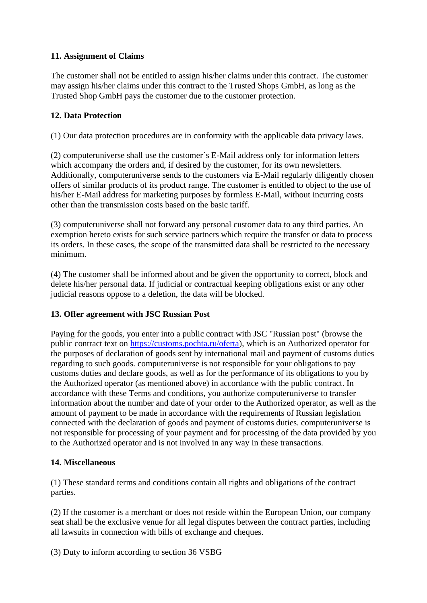#### **11. Assignment of Claims**

The customer shall not be entitled to assign his/her claims under this contract. The customer may assign his/her claims under this contract to the Trusted Shops GmbH, as long as the Trusted Shop GmbH pays the customer due to the customer protection.

#### **12. Data Protection**

(1) Our data protection procedures are in conformity with the applicable data privacy laws.

(2) computeruniverse shall use the customer´s E-Mail address only for information letters which accompany the orders and, if desired by the customer, for its own newsletters. Additionally, computeruniverse sends to the customers via E-Mail regularly diligently chosen offers of similar products of its product range. The customer is entitled to object to the use of his/her E-Mail address for marketing purposes by formless E-Mail, without incurring costs other than the transmission costs based on the basic tariff.

(3) computeruniverse shall not forward any personal customer data to any third parties. An exemption hereto exists for such service partners which require the transfer or data to process its orders. In these cases, the scope of the transmitted data shall be restricted to the necessary minimum.

(4) The customer shall be informed about and be given the opportunity to correct, block and delete his/her personal data. If judicial or contractual keeping obligations exist or any other judicial reasons oppose to a deletion, the data will be blocked.

#### **13. Offer agreement with JSC Russian Post**

Paying for the goods, you enter into a public contract with JSC "Russian post" (browse the public contract text on [https://customs.pochta.ru/oferta\)](https://customs.pochta.ru/oferta), which is an Authorized operator for the purposes of declaration of goods sent by international mail and payment of customs duties regarding to such goods. computeruniverse is not responsible for your obligations to pay customs duties and declare goods, as well as for the performance of its obligations to you by the Authorized operator (as mentioned above) in accordance with the public contract. In accordance with these Terms and conditions, you authorize computeruniverse to transfer information about the number and date of your order to the Authorized operator, as well as the amount of payment to be made in accordance with the requirements of Russian legislation connected with the declaration of goods and payment of customs duties. computeruniverse is not responsible for processing of your payment and for processing of the data provided by you to the Authorized operator and is not involved in any way in these transactions.

#### **14. Miscellaneous**

(1) These standard terms and conditions contain all rights and obligations of the contract parties.

(2) If the customer is a merchant or does not reside within the European Union, our company seat shall be the exclusive venue for all legal disputes between the contract parties, including all lawsuits in connection with bills of exchange and cheques.

(3) Duty to inform according to section 36 VSBG